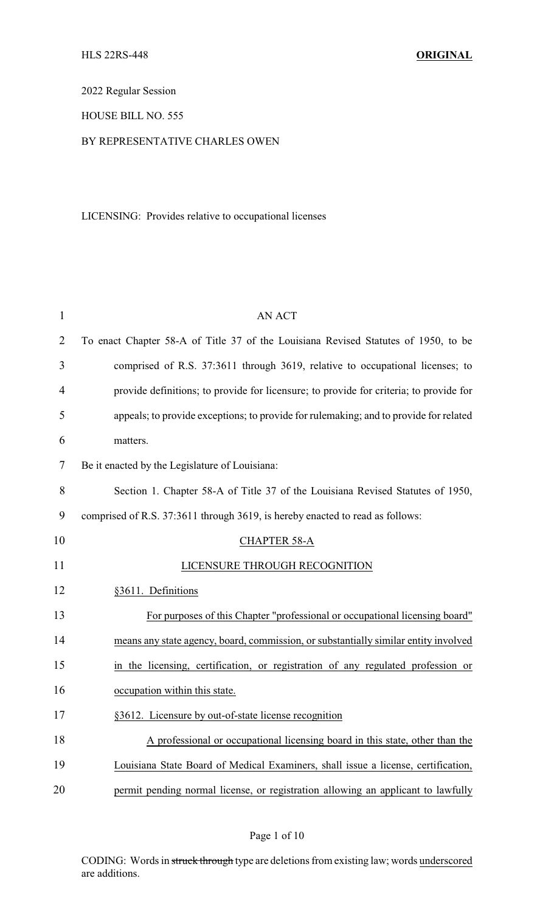2022 Regular Session

## HOUSE BILL NO. 555

#### BY REPRESENTATIVE CHARLES OWEN

## LICENSING: Provides relative to occupational licenses

| 1              | <b>AN ACT</b>                                                                          |
|----------------|----------------------------------------------------------------------------------------|
| $\overline{2}$ | To enact Chapter 58-A of Title 37 of the Louisiana Revised Statutes of 1950, to be     |
| 3              | comprised of R.S. 37:3611 through 3619, relative to occupational licenses; to          |
| $\overline{4}$ | provide definitions; to provide for licensure; to provide for criteria; to provide for |
| 5              | appeals; to provide exceptions; to provide for rulemaking; and to provide for related  |
| 6              | matters.                                                                               |
| 7              | Be it enacted by the Legislature of Louisiana:                                         |
| 8              | Section 1. Chapter 58-A of Title 37 of the Louisiana Revised Statutes of 1950,         |
| 9              | comprised of R.S. 37:3611 through 3619, is hereby enacted to read as follows:          |
| 10             | <b>CHAPTER 58-A</b>                                                                    |
| 11             | LICENSURE THROUGH RECOGNITION                                                          |
| 12             | §3611. Definitions                                                                     |
| 13             | For purposes of this Chapter "professional or occupational licensing board"            |
| 14             | means any state agency, board, commission, or substantially similar entity involved    |
| 15             | in the licensing, certification, or registration of any regulated profession or        |
| 16             | occupation within this state.                                                          |
| 17             | §3612. Licensure by out-of-state license recognition                                   |
| 18             | A professional or occupational licensing board in this state, other than the           |
| 19             | Louisiana State Board of Medical Examiners, shall issue a license, certification,      |
| 20             | permit pending normal license, or registration allowing an applicant to lawfully       |

Page 1 of 10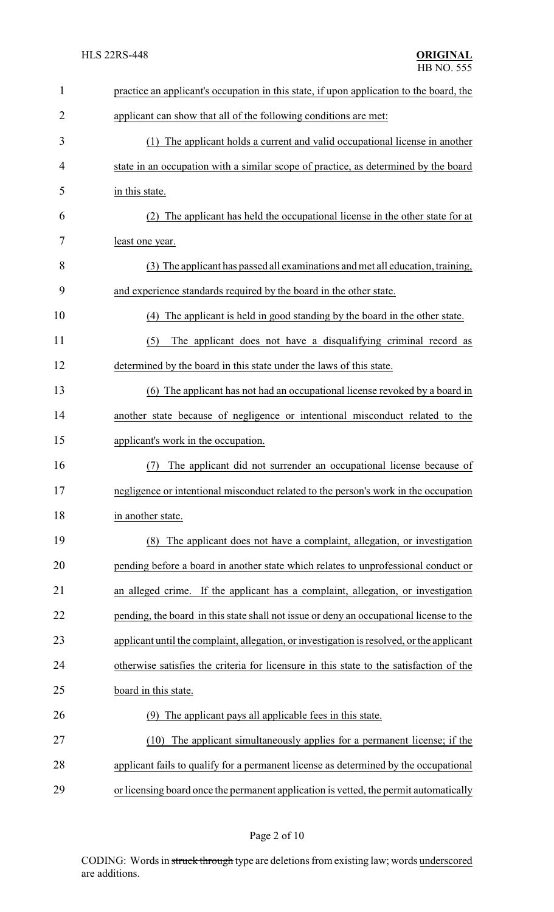| $\mathbf{1}$   | practice an applicant's occupation in this state, if upon application to the board, the   |
|----------------|-------------------------------------------------------------------------------------------|
| $\overline{2}$ | applicant can show that all of the following conditions are met:                          |
| 3              | (1) The applicant holds a current and valid occupational license in another               |
| 4              | state in an occupation with a similar scope of practice, as determined by the board       |
| 5              | in this state.                                                                            |
| 6              | The applicant has held the occupational license in the other state for at<br>(2)          |
| 7              | least one year.                                                                           |
| 8              | (3) The applicant has passed all examinations and met all education, training,            |
| 9              | and experience standards required by the board in the other state.                        |
| 10             | The applicant is held in good standing by the board in the other state.<br>(4)            |
| 11             | The applicant does not have a disqualifying criminal record as<br>(5)                     |
| 12             | determined by the board in this state under the laws of this state.                       |
| 13             | (6) The applicant has not had an occupational license revoked by a board in               |
| 14             | another state because of negligence or intentional misconduct related to the              |
| 15             | applicant's work in the occupation.                                                       |
| 16             | The applicant did not surrender an occupational license because of<br>(7)                 |
| 17             | negligence or intentional misconduct related to the person's work in the occupation       |
| 18             | in another state.                                                                         |
| 19             | The applicant does not have a complaint, allegation, or investigation<br>(8)              |
| 20             | pending before a board in another state which relates to unprofessional conduct or        |
| 21             | an alleged crime. If the applicant has a complaint, allegation, or investigation          |
| 22             | pending, the board in this state shall not issue or deny an occupational license to the   |
| 23             | applicant until the complaint, allegation, or investigation is resolved, or the applicant |
| 24             | otherwise satisfies the criteria for licensure in this state to the satisfaction of the   |
| 25             | board in this state.                                                                      |
| 26             | The applicant pays all applicable fees in this state.<br>(9)                              |
| 27             | The applicant simultaneously applies for a permanent license; if the<br>(10)              |
| 28             | applicant fails to qualify for a permanent license as determined by the occupational      |
| 29             | or licensing board once the permanent application is vetted, the permit automatically     |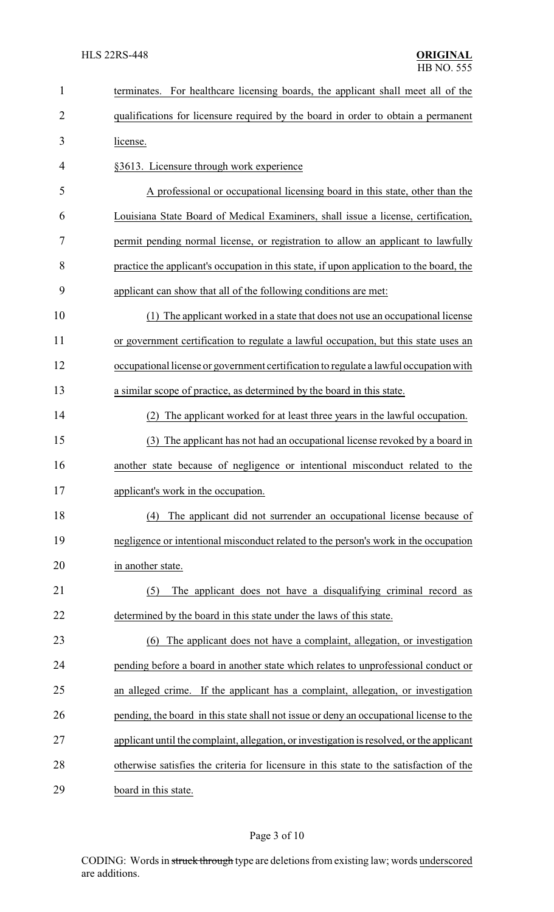| $\mathbf{1}$   | terminates. For healthcare licensing boards, the applicant shall meet all of the          |  |
|----------------|-------------------------------------------------------------------------------------------|--|
| $\overline{2}$ | qualifications for licensure required by the board in order to obtain a permanent         |  |
| 3              | license.                                                                                  |  |
| 4              | §3613. Licensure through work experience                                                  |  |
| 5              | A professional or occupational licensing board in this state, other than the              |  |
| 6              | Louisiana State Board of Medical Examiners, shall issue a license, certification,         |  |
| 7              | permit pending normal license, or registration to allow an applicant to lawfully          |  |
| 8              | practice the applicant's occupation in this state, if upon application to the board, the  |  |
| 9              | applicant can show that all of the following conditions are met:                          |  |
| 10             | (1) The applicant worked in a state that does not use an occupational license             |  |
| 11             | or government certification to regulate a lawful occupation, but this state uses an       |  |
| 12             | occupational license or government certification to regulate a lawful occupation with     |  |
| 13             | a similar scope of practice, as determined by the board in this state.                    |  |
| 14             | The applicant worked for at least three years in the lawful occupation.<br>(2)            |  |
| 15             | (3) The applicant has not had an occupational license revoked by a board in               |  |
| 16             | another state because of negligence or intentional misconduct related to the              |  |
| 17             | applicant's work in the occupation.                                                       |  |
| 18             | The applicant did not surrender an occupational license because of<br>(4)                 |  |
| 19             | negligence or intentional misconduct related to the person's work in the occupation       |  |
| 20             | in another state.                                                                         |  |
| 21             | The applicant does not have a disqualifying criminal record as<br>(5)                     |  |
| 22             | determined by the board in this state under the laws of this state.                       |  |
| 23             | (6) The applicant does not have a complaint, allegation, or investigation                 |  |
| 24             | pending before a board in another state which relates to unprofessional conduct or        |  |
| 25             | an alleged crime. If the applicant has a complaint, allegation, or investigation          |  |
| 26             | pending, the board in this state shall not issue or deny an occupational license to the   |  |
| 27             | applicant until the complaint, allegation, or investigation is resolved, or the applicant |  |
| 28             | otherwise satisfies the criteria for licensure in this state to the satisfaction of the   |  |
| 29             | board in this state.                                                                      |  |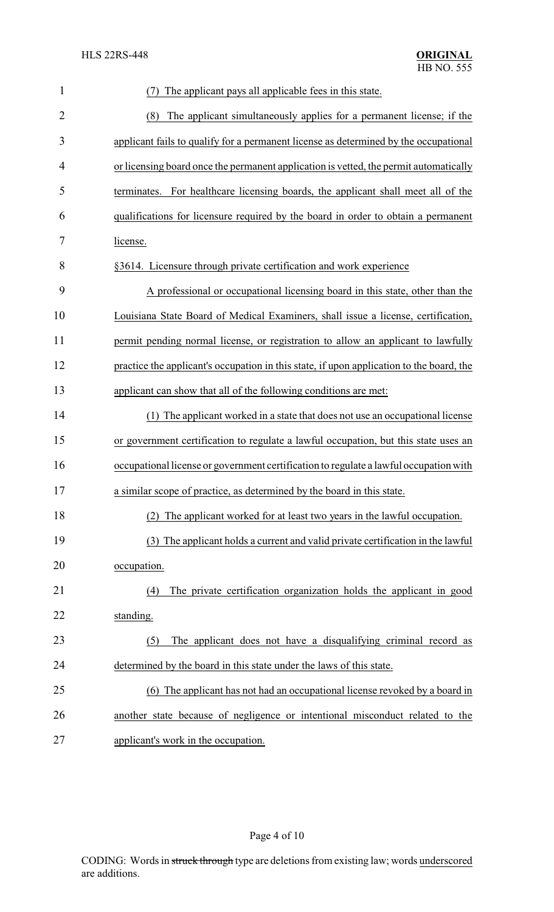| 1              | The applicant pays all applicable fees in this state.                                    |  |
|----------------|------------------------------------------------------------------------------------------|--|
| $\overline{2}$ | The applicant simultaneously applies for a permanent license; if the<br>(8)              |  |
| 3              | applicant fails to qualify for a permanent license as determined by the occupational     |  |
| 4              | or licensing board once the permanent application is vetted, the permit automatically    |  |
| 5              | For healthcare licensing boards, the applicant shall meet all of the<br>terminates.      |  |
| 6              | qualifications for licensure required by the board in order to obtain a permanent        |  |
| 7              | license.                                                                                 |  |
| 8              | §3614. Licensure through private certification and work experience                       |  |
| 9              | A professional or occupational licensing board in this state, other than the             |  |
| 10             | Louisiana State Board of Medical Examiners, shall issue a license, certification,        |  |
| 11             | permit pending normal license, or registration to allow an applicant to lawfully         |  |
| 12             | practice the applicant's occupation in this state, if upon application to the board, the |  |
| 13             | applicant can show that all of the following conditions are met:                         |  |
| 14             | The applicant worked in a state that does not use an occupational license                |  |
| 15             | or government certification to regulate a lawful occupation, but this state uses an      |  |
| 16             | occupational license or government certification to regulate a lawful occupation with    |  |
| 17             | a similar scope of practice, as determined by the board in this state.                   |  |
| 18             | (2) The applicant worked for at least two years in the lawful occupation.                |  |
| 19             | (3) The applicant holds a current and valid private certification in the lawful          |  |
| 20             | occupation.                                                                              |  |
| 21             | The private certification organization holds the applicant in good<br>(4)                |  |
| 22             | standing.                                                                                |  |
| 23             | The applicant does not have a disqualifying criminal record as<br>(5)                    |  |
| 24             | determined by the board in this state under the laws of this state.                      |  |
| 25             | (6) The applicant has not had an occupational license revoked by a board in              |  |
| 26             | another state because of negligence or intentional misconduct related to the             |  |
| 27             | applicant's work in the occupation.                                                      |  |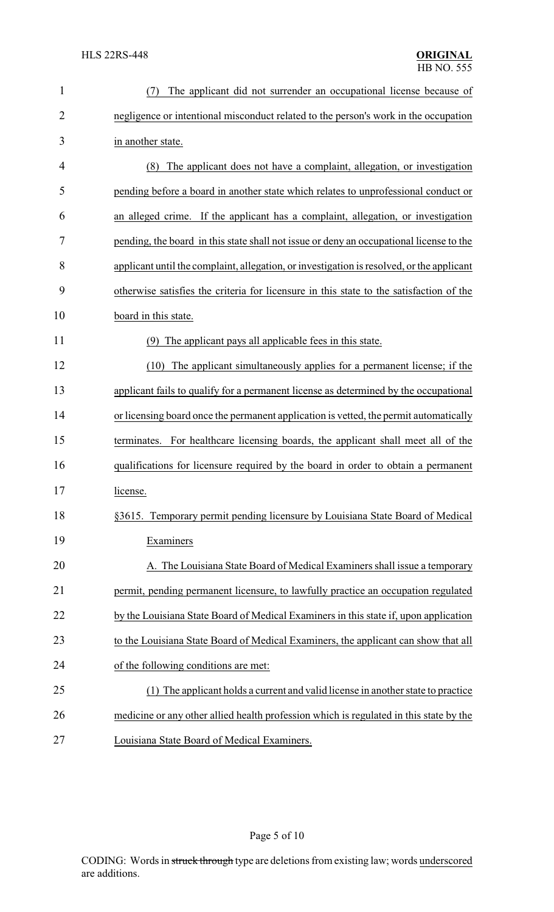| $\mathbf{1}$   | The applicant did not surrender an occupational license because of<br>(7)                 |  |
|----------------|-------------------------------------------------------------------------------------------|--|
| $\overline{2}$ | negligence or intentional misconduct related to the person's work in the occupation       |  |
| 3              | in another state.                                                                         |  |
| 4              | The applicant does not have a complaint, allegation, or investigation<br>(8)              |  |
| 5              | pending before a board in another state which relates to unprofessional conduct or        |  |
| 6              | an alleged crime. If the applicant has a complaint, allegation, or investigation          |  |
| 7              | pending, the board in this state shall not issue or deny an occupational license to the   |  |
| 8              | applicant until the complaint, allegation, or investigation is resolved, or the applicant |  |
| 9              | otherwise satisfies the criteria for licensure in this state to the satisfaction of the   |  |
| 10             | board in this state.                                                                      |  |
| 11             | The applicant pays all applicable fees in this state.<br>(9)                              |  |
| 12             | The applicant simultaneously applies for a permanent license; if the<br>(10)              |  |
| 13             | applicant fails to qualify for a permanent license as determined by the occupational      |  |
| 14             | or licensing board once the permanent application is vetted, the permit automatically     |  |
| 15             | terminates. For healthcare licensing boards, the applicant shall meet all of the          |  |
| 16             | qualifications for licensure required by the board in order to obtain a permanent         |  |
| 17             | license.                                                                                  |  |
| 18             | §3615. Temporary permit pending licensure by Louisiana State Board of Medical             |  |
| 19             | Examiners                                                                                 |  |
| 20             | A. The Louisiana State Board of Medical Examiners shall issue a temporary                 |  |
| 21             | permit, pending permanent licensure, to lawfully practice an occupation regulated         |  |
| 22             | by the Louisiana State Board of Medical Examiners in this state if, upon application      |  |
| 23             | to the Louisiana State Board of Medical Examiners, the applicant can show that all        |  |
| 24             | of the following conditions are met:                                                      |  |
| 25             | (1) The applicant holds a current and valid license in another state to practice          |  |
| 26             | medicine or any other allied health profession which is regulated in this state by the    |  |
| 27             | Louisiana State Board of Medical Examiners.                                               |  |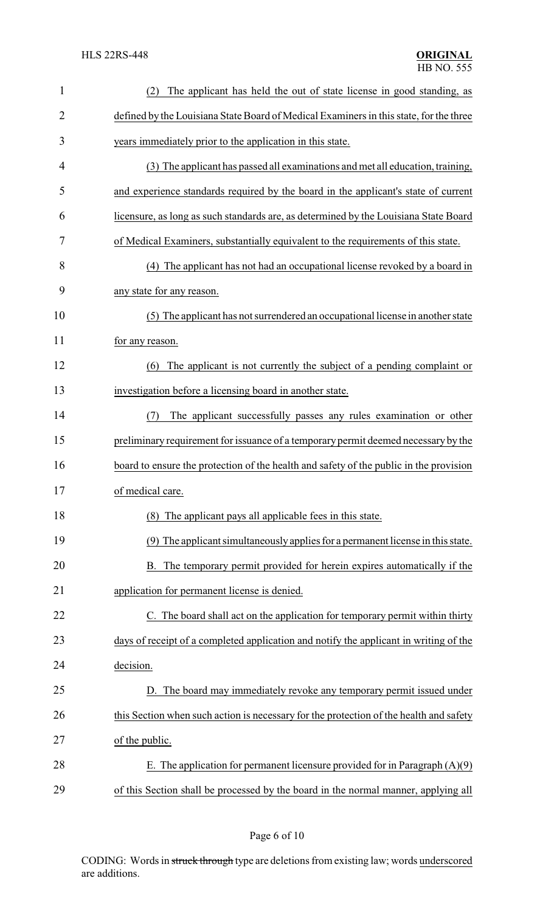| $\mathbf{1}$   | The applicant has held the out of state license in good standing, as<br>(2)            |
|----------------|----------------------------------------------------------------------------------------|
| $\overline{2}$ | defined by the Louisiana State Board of Medical Examiners in this state, for the three |
| 3              | years immediately prior to the application in this state.                              |
| 4              | (3) The applicant has passed all examinations and met all education, training,         |
| 5              | and experience standards required by the board in the applicant's state of current     |
| 6              | licensure, as long as such standards are, as determined by the Louisiana State Board   |
| 7              | of Medical Examiners, substantially equivalent to the requirements of this state.      |
| 8              | (4) The applicant has not had an occupational license revoked by a board in            |
| 9              | any state for any reason.                                                              |
| 10             | (5) The applicant has not surrendered an occupational license in another state         |
| 11             | for any reason.                                                                        |
| 12             | The applicant is not currently the subject of a pending complaint or<br>(6)            |
| 13             | investigation before a licensing board in another state.                               |
| 14             | The applicant successfully passes any rules examination or other<br>(7)                |
| 15             | preliminary requirement for issuance of a temporary permit deemed necessary by the     |
| 16             | board to ensure the protection of the health and safety of the public in the provision |
| 17             | of medical care.                                                                       |
| 18             | (8) The applicant pays all applicable fees in this state.                              |
| 19             | (9) The applicant simultaneously applies for a permanent license in this state.        |
| 20             | B. The temporary permit provided for herein expires automatically if the               |
| 21             | application for permanent license is denied.                                           |
| 22             | C. The board shall act on the application for temporary permit within thirty           |
| 23             | days of receipt of a completed application and notify the applicant in writing of the  |
| 24             | decision.                                                                              |
| 25             | D. The board may immediately revoke any temporary permit issued under                  |
| 26             | this Section when such action is necessary for the protection of the health and safety |
| 27             | of the public.                                                                         |
| 28             | E. The application for permanent licensure provided for in Paragraph $(A)(9)$          |
| 29             | of this Section shall be processed by the board in the normal manner, applying all     |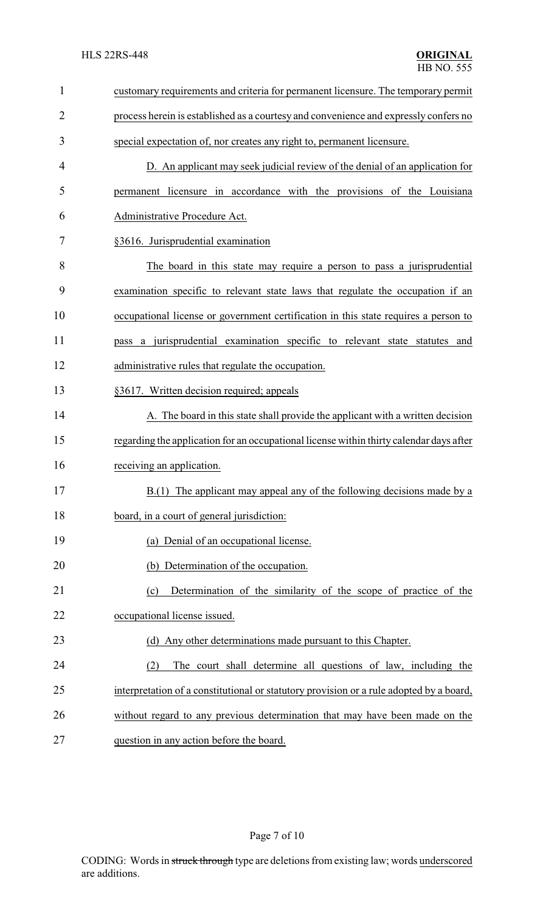| $\mathbf{1}$   | customary requirements and criteria for permanent licensure. The temporary permit       |
|----------------|-----------------------------------------------------------------------------------------|
| $\overline{2}$ | process herein is established as a courtesy and convenience and expressly confers no    |
| 3              | special expectation of, nor creates any right to, permanent licensure.                  |
| 4              | D. An applicant may seek judicial review of the denial of an application for            |
| 5              | permanent licensure in accordance with the provisions of the Louisiana                  |
| 6              | Administrative Procedure Act.                                                           |
| 7              | §3616. Jurisprudential examination                                                      |
| 8              | The board in this state may require a person to pass a jurisprudential                  |
| 9              | examination specific to relevant state laws that regulate the occupation if an          |
| 10             | occupational license or government certification in this state requires a person to     |
| 11             | pass a jurisprudential examination specific to relevant state statutes and              |
| 12             | administrative rules that regulate the occupation.                                      |
| 13             | §3617. Written decision required; appeals                                               |
| 14             | A. The board in this state shall provide the applicant with a written decision          |
| 15             | regarding the application for an occupational license within thirty calendar days after |
| 16             | receiving an application.                                                               |
| 17             | B.(1) The applicant may appeal any of the following decisions made by a                 |
| 18             | board, in a court of general jurisdiction:                                              |
| 19             | (a) Denial of an occupational license.                                                  |
| 20             | (b) Determination of the occupation.                                                    |
| 21             | Determination of the similarity of the scope of practice of the<br>(c)                  |
| 22             | occupational license issued.                                                            |
| 23             | (d) Any other determinations made pursuant to this Chapter.                             |
| 24             | The court shall determine all questions of law, including the<br>(2)                    |
| 25             | interpretation of a constitutional or statutory provision or a rule adopted by a board, |
| 26             | without regard to any previous determination that may have been made on the             |
| 27             | question in any action before the board.                                                |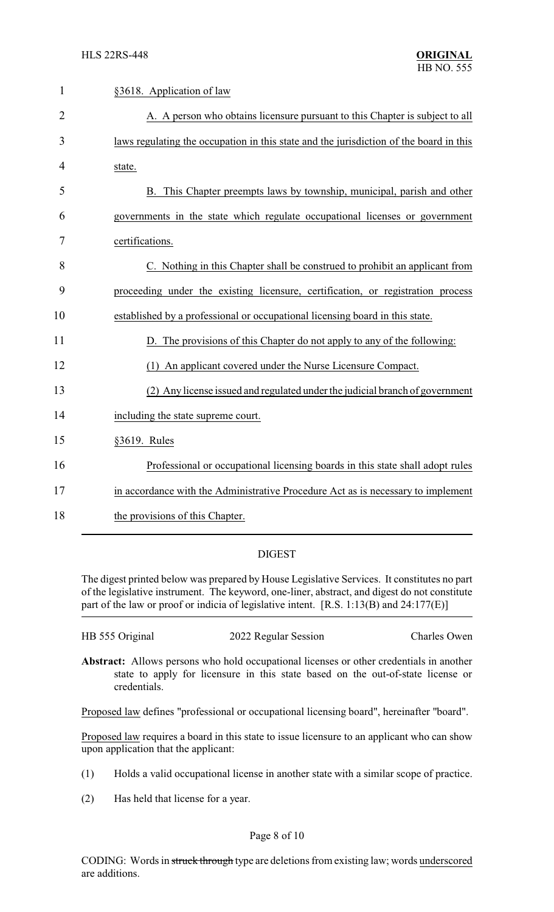| $\mathbf{1}$   | §3618. Application of law                                                              |
|----------------|----------------------------------------------------------------------------------------|
| $\overline{2}$ | A. A person who obtains licensure pursuant to this Chapter is subject to all           |
| 3              | laws regulating the occupation in this state and the jurisdiction of the board in this |
| 4              | state.                                                                                 |
| 5              | B. This Chapter preempts laws by township, municipal, parish and other                 |
| 6              | governments in the state which regulate occupational licenses or government            |
| 7              | certifications.                                                                        |
| 8              | C. Nothing in this Chapter shall be construed to prohibit an applicant from            |
| 9              | proceeding under the existing licensure, certification, or registration process        |
| 10             | established by a professional or occupational licensing board in this state.           |
| 11             | D. The provisions of this Chapter do not apply to any of the following:                |
| 12             | An applicant covered under the Nurse Licensure Compact.<br>(1)                         |
| 13             | (2) Any license issued and regulated under the judicial branch of government           |
| 14             | including the state supreme court.                                                     |
| 15             | §3619. Rules                                                                           |
| 16             | Professional or occupational licensing boards in this state shall adopt rules          |
| 17             | in accordance with the Administrative Procedure Act as is necessary to implement       |
| 18             | the provisions of this Chapter.                                                        |

# DIGEST

The digest printed below was prepared by House Legislative Services. It constitutes no part of the legislative instrument. The keyword, one-liner, abstract, and digest do not constitute part of the law or proof or indicia of legislative intent. [R.S. 1:13(B) and 24:177(E)]

| HB 555 Original | 2022 Regular Session | Charles Owen |
|-----------------|----------------------|--------------|
|-----------------|----------------------|--------------|

**Abstract:** Allows persons who hold occupational licenses or other credentials in another state to apply for licensure in this state based on the out-of-state license or credentials.

Proposed law defines "professional or occupational licensing board", hereinafter "board".

Proposed law requires a board in this state to issue licensure to an applicant who can show upon application that the applicant:

- (1) Holds a valid occupational license in another state with a similar scope of practice.
- (2) Has held that license for a year.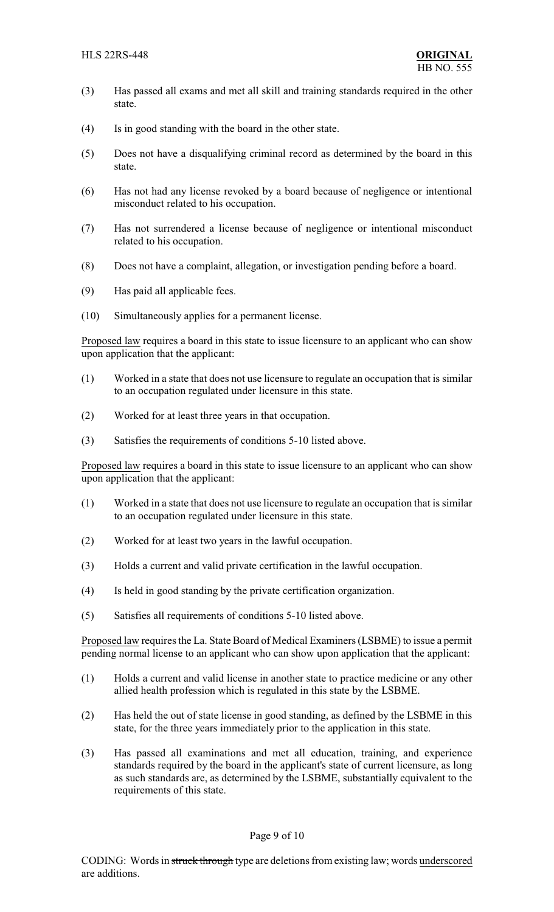- (3) Has passed all exams and met all skill and training standards required in the other state.
- (4) Is in good standing with the board in the other state.
- (5) Does not have a disqualifying criminal record as determined by the board in this state.
- (6) Has not had any license revoked by a board because of negligence or intentional misconduct related to his occupation.
- (7) Has not surrendered a license because of negligence or intentional misconduct related to his occupation.
- (8) Does not have a complaint, allegation, or investigation pending before a board.
- (9) Has paid all applicable fees.
- (10) Simultaneously applies for a permanent license.

Proposed law requires a board in this state to issue licensure to an applicant who can show upon application that the applicant:

- (1) Worked in a state that does not use licensure to regulate an occupation that is similar to an occupation regulated under licensure in this state.
- (2) Worked for at least three years in that occupation.
- (3) Satisfies the requirements of conditions 5-10 listed above.

Proposed law requires a board in this state to issue licensure to an applicant who can show upon application that the applicant:

- (1) Worked in a state that does not use licensure to regulate an occupation that is similar to an occupation regulated under licensure in this state.
- (2) Worked for at least two years in the lawful occupation.
- (3) Holds a current and valid private certification in the lawful occupation.
- (4) Is held in good standing by the private certification organization.
- (5) Satisfies all requirements of conditions 5-10 listed above.

Proposed law requires the La. State Board of Medical Examiners (LSBME) to issue a permit pending normal license to an applicant who can show upon application that the applicant:

- (1) Holds a current and valid license in another state to practice medicine or any other allied health profession which is regulated in this state by the LSBME.
- (2) Has held the out of state license in good standing, as defined by the LSBME in this state, for the three years immediately prior to the application in this state.
- (3) Has passed all examinations and met all education, training, and experience standards required by the board in the applicant's state of current licensure, as long as such standards are, as determined by the LSBME, substantially equivalent to the requirements of this state.

#### Page 9 of 10